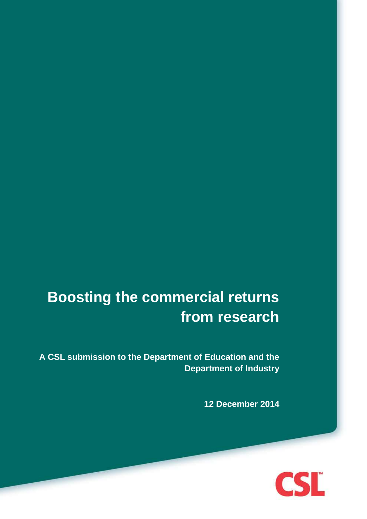# **Boosting the commercial returns from research**

**A CSL submission to the Department of Education and the Department of Industry**

**12 December 2014**

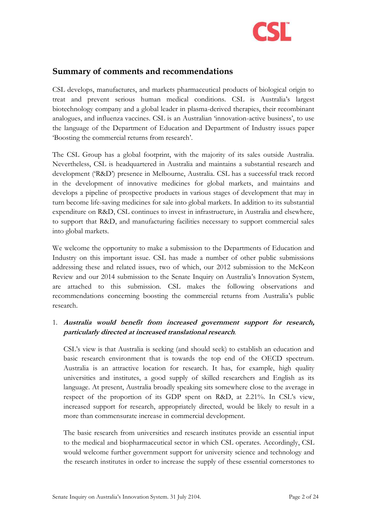

# <span id="page-1-0"></span>**Summary of comments and recommendations**

CSL develops, manufactures, and markets pharmaceutical products of biological origin to treat and prevent serious human medical conditions. CSL is Australia's largest biotechnology company and a global leader in plasma-derived therapies, their recombinant analogues, and influenza vaccines. CSL is an Australian 'innovation-active business', to use the language of the Department of Education and Department of Industry issues paper 'Boosting the commercial returns from research'.

The CSL Group has a global footprint, with the majority of its sales outside Australia. Nevertheless, CSL is headquartered in Australia and maintains a substantial research and development ('R&D') presence in Melbourne, Australia. CSL has a successful track record in the development of innovative medicines for global markets, and maintains and develops a pipeline of prospective products in various stages of development that may in turn become life-saving medicines for sale into global markets. In addition to its substantial expenditure on R&D, CSL continues to invest in infrastructure, in Australia and elsewhere, to support that R&D, and manufacturing facilities necessary to support commercial sales into global markets.

We welcome the opportunity to make a submission to the Departments of Education and Industry on this important issue. CSL has made a number of other public submissions addressing these and related issues, two of which, our 2012 submission to the McKeon Review and our 2014 submission to the Senate Inquiry on Australia's Innovation System, are attached to this submission. CSL makes the following observations and recommendations concerning boosting the commercial returns from Australia's public research.

#### 1. **Australia would benefit from increased government support for research, particularly directed at increased translational research**.

CSL's view is that Australia is seeking (and should seek) to establish an education and basic research environment that is towards the top end of the OECD spectrum. Australia is an attractive location for research. It has, for example, high quality universities and institutes, a good supply of skilled researchers and English as its language. At present, Australia broadly speaking sits somewhere close to the average in respect of the proportion of its GDP spent on R&D, at 2.21%. In CSL's view, increased support for research, appropriately directed, would be likely to result in a more than commensurate increase in commercial development.

The basic research from universities and research institutes provide an essential input to the medical and biopharmaceutical sector in which CSL operates. Accordingly, CSL would welcome further government support for university science and technology and the research institutes in order to increase the supply of these essential cornerstones to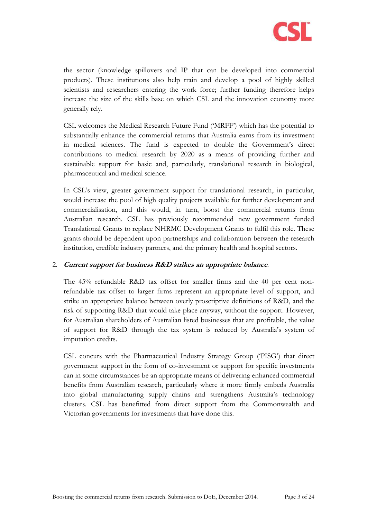

the sector (knowledge spillovers and IP that can be developed into commercial products). These institutions also help train and develop a pool of highly skilled scientists and researchers entering the work force; further funding therefore helps increase the size of the skills base on which CSL and the innovation economy more generally rely.

CSL welcomes the Medical Research Future Fund ('MRFF') which has the potential to substantially enhance the commercial returns that Australia earns from its investment in medical sciences. The fund is expected to double the Government's direct contributions to medical research by 2020 as a means of providing further and sustainable support for basic and, particularly, translational research in biological, pharmaceutical and medical science.

In CSL's view, greater government support for translational research, in particular, would increase the pool of high quality projects available for further development and commercialisation, and this would, in turn, boost the commercial returns from Australian research. CSL has previously recommended new government funded Translational Grants to replace NHRMC Development Grants to fulfil this role. These grants should be dependent upon partnerships and collaboration between the research institution, credible industry partners, and the primary health and hospital sectors.

#### 2. **Current support for business R&D strikes an appropriate balance**.

The 45% refundable R&D tax offset for smaller firms and the 40 per cent nonrefundable tax offset to larger firms represent an appropriate level of support, and strike an appropriate balance between overly proscriptive definitions of R&D, and the risk of supporting R&D that would take place anyway, without the support. However, for Australian shareholders of Australian listed businesses that are profitable, the value of support for R&D through the tax system is reduced by Australia's system of imputation credits.

CSL concurs with the Pharmaceutical Industry Strategy Group ('PISG') that direct government support in the form of co-investment or support for specific investments can in some circumstances be an appropriate means of delivering enhanced commercial benefits from Australian research, particularly where it more firmly embeds Australia into global manufacturing supply chains and strengthens Australia's technology clusters. CSL has benefitted from direct support from the Commonwealth and Victorian governments for investments that have done this.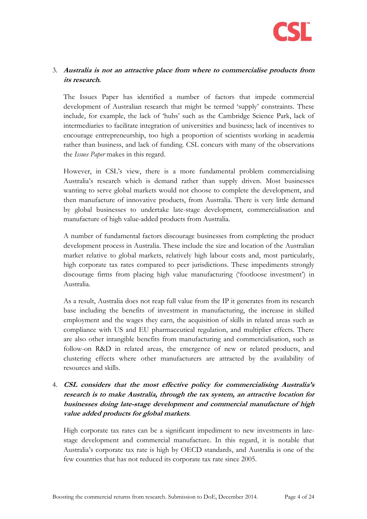

## 3. **Australia is not an attractive place from where to commercialise products from its research.**

The Issues Paper has identified a number of factors that impede commercial development of Australian research that might be termed 'supply' constraints. These include, for example, the lack of 'hubs' such as the Cambridge Science Park, lack of intermediaries to facilitate integration of universities and business; lack of incentives to encourage entrepreneurship, too high a proportion of scientists working in academia rather than business, and lack of funding. CSL concurs with many of the observations the *Issues Paper* makes in this regard.

However, in CSL's view, there is a more fundamental problem commercialising Australia's research which is demand rather than supply driven. Most businesses wanting to serve global markets would not choose to complete the development, and then manufacture of innovative products, from Australia. There is very little demand by global businesses to undertake late-stage development, commercialisation and manufacture of high value-added products from Australia.

A number of fundamental factors discourage businesses from completing the product development process in Australia. These include the size and location of the Australian market relative to global markets, relatively high labour costs and, most particularly, high corporate tax rates compared to peer jurisdictions. These impediments strongly discourage firms from placing high value manufacturing ('footloose investment') in Australia.

As a result, Australia does not reap full value from the IP it generates from its research base including the benefits of investment in manufacturing, the increase in skilled employment and the wages they earn, the acquisition of skills in related areas such as compliance with US and EU pharmaceutical regulation, and multiplier effects. There are also other intangible benefits from manufacturing and commercialisation, such as follow-on R&D in related areas, the emergence of new or related products, and clustering effects where other manufacturers are attracted by the availability of resources and skills.

## 4. **CSL considers that the most effective policy for commercialising Australia's research is to make Australia, through the tax system, an attractive location for businesses doing late-stage development and commercial manufacture of high value added products for global markets**.

High corporate tax rates can be a significant impediment to new investments in latestage development and commercial manufacture. In this regard, it is notable that Australia's corporate tax rate is high by OECD standards, and Australia is one of the few countries that has not reduced its corporate tax rate since 2005.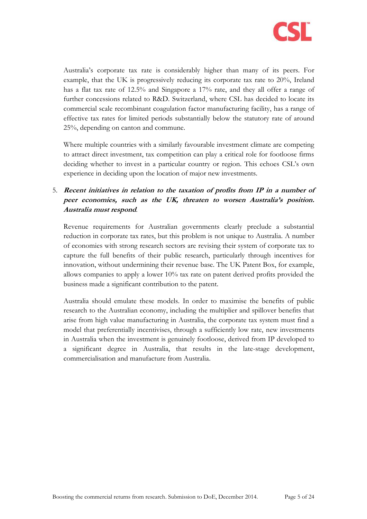

Australia's corporate tax rate is considerably higher than many of its peers. For example, that the UK is progressively reducing its corporate tax rate to 20%, Ireland has a flat tax rate of 12.5% and Singapore a 17% rate, and they all offer a range of further concessions related to R&D. Switzerland, where CSL has decided to locate its commercial scale recombinant coagulation factor manufacturing facility, has a range of effective tax rates for limited periods substantially below the statutory rate of around 25%, depending on canton and commune.

Where multiple countries with a similarly favourable investment climate are competing to attract direct investment, tax competition can play a critical role for footloose firms deciding whether to invest in a particular country or region. This echoes CSL's own experience in deciding upon the location of major new investments.

## 5. **Recent initiatives in relation to the taxation of profits from IP in a number of peer economies, such as the UK, threaten to worsen Australia's position. Australia must respond**.

Revenue requirements for Australian governments clearly preclude a substantial reduction in corporate tax rates, but this problem is not unique to Australia. A number of economies with strong research sectors are revising their system of corporate tax to capture the full benefits of their public research, particularly through incentives for innovation, without undermining their revenue base. The UK Patent Box, for example, allows companies to apply a lower 10% tax rate on patent derived profits provided the business made a significant contribution to the patent.

Australia should emulate these models. In order to maximise the benefits of public research to the Australian economy, including the multiplier and spillover benefits that arise from high value manufacturing in Australia, the corporate tax system must find a model that preferentially incentivises, through a sufficiently low rate, new investments in Australia when the investment is genuinely footloose, derived from IP developed to a significant degree in Australia, that results in the late-stage development, commercialisation and manufacture from Australia.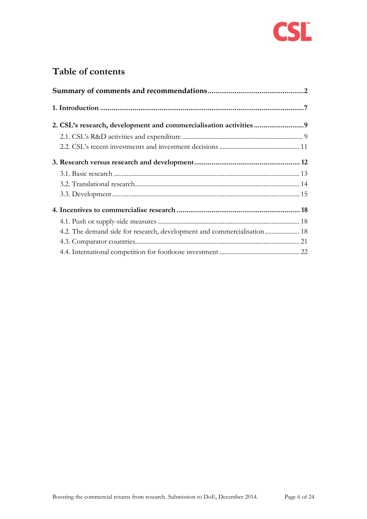

# **Table of contents**

| 4.2. The demand side for research, development and commercialisation  18 |  |
|--------------------------------------------------------------------------|--|
|                                                                          |  |
|                                                                          |  |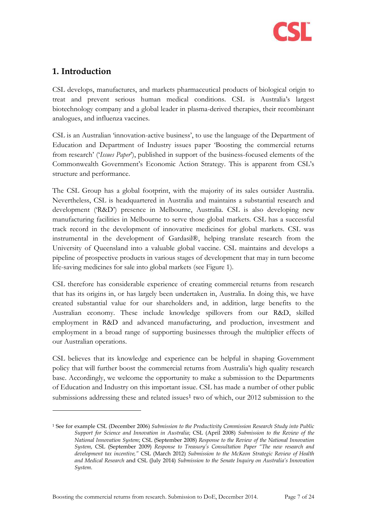

# <span id="page-6-0"></span>**1. Introduction**

-

CSL develops, manufactures, and markets pharmaceutical products of biological origin to treat and prevent serious human medical conditions. CSL is Australia's largest biotechnology company and a global leader in plasma-derived therapies, their recombinant analogues, and influenza vaccines.

CSL is an Australian 'innovation-active business', to use the language of the Department of Education and Department of Industry issues paper 'Boosting the commercial returns from research' ('*Issues Paper*'), published in support of the business-focused elements of the Commonwealth Government's Economic Action Strategy. This is apparent from CSL's structure and performance.

The CSL Group has a global footprint, with the majority of its sales outsider Australia. Nevertheless, CSL is headquartered in Australia and maintains a substantial research and development ('R&D') presence in Melbourne, Australia. CSL is also developing new manufacturing facilities in Melbourne to serve those global markets. CSL has a successful track record in the development of innovative medicines for global markets. CSL was instrumental in the development of Gardasil®, helping translate research from the University of Queensland into a valuable global vaccine. CSL maintains and develops a pipeline of prospective products in various stages of development that may in turn become life-saving medicines for sale into global markets (see [Figure 1\)](#page-7-0).

CSL therefore has considerable experience of creating commercial returns from research that has its origins in, or has largely been undertaken in, Australia. In doing this, we have created substantial value for our shareholders and, in addition, large benefits to the Australian economy. These include knowledge spillovers from our R&D, skilled employment in R&D and advanced manufacturing, and production, investment and employment in a broad range of supporting businesses through the multiplier effects of our Australian operations.

CSL believes that its knowledge and experience can be helpful in shaping Government policy that will further boost the commercial returns from Australia's high quality research base. Accordingly, we welcome the opportunity to make a submission to the Departments of Education and Industry on this important issue. CSL has made a number of other public submissions addressing these and related issues<sup>1</sup> two of which, our  $2012$  submission to the

<sup>1</sup> See for example CSL (December 2006) *Submission to the Productivity Commission Research Study into Public Support for Science and Innovation in Australia*; CSL (April 2008) *Submission to the Review of the National Innovation System*; CSL (September 2008) *Response to the Review of the National Innovation System*, CSL (September 2009) *Response to Treasury's Consultation Paper "The new research and development tax incentive,"* CSL (March 2012) *Submission to the McKeon Strategic Review of Health and Medical Research* and CSL (July 2014) *Submission to the Senate Inquiry on Australia's Innovation System*.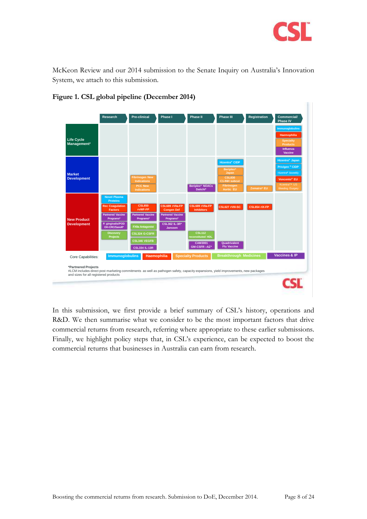

McKeon Review and our 2014 submission to the Senate Inquiry on Australia's Innovation System, we attach to this submission.



#### <span id="page-7-0"></span>**Figure 1. CSL global pipeline (December 2014)**

In this submission, we first provide a brief summary of CSL's history, operations and R&D. We then summarise what we consider to be the most important factors that drive commercial returns from research, referring where appropriate to these earlier submissions. Finally, we highlight policy steps that, in CSL's experience, can be expected to boost the commercial returns that businesses in Australia can earn from research.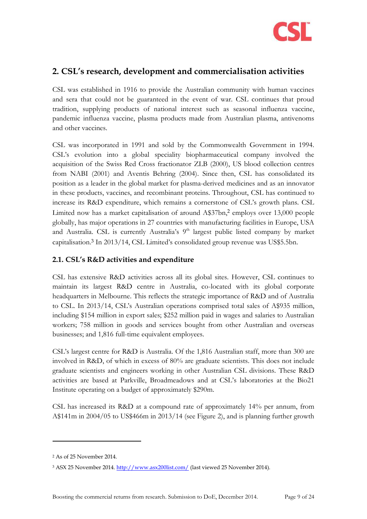

# <span id="page-8-0"></span>**2. CSL's research, development and commercialisation activities**

CSL was established in 1916 to provide the Australian community with human vaccines and sera that could not be guaranteed in the event of war. CSL continues that proud tradition, supplying products of national interest such as seasonal influenza vaccine, pandemic influenza vaccine, plasma products made from Australian plasma, antivenoms and other vaccines.

CSL was incorporated in 1991 and sold by the Commonwealth Government in 1994. CSL's evolution into a global speciality biopharmaceutical company involved the acquisition of the Swiss Red Cross fractionator ZLB (2000), US blood collection centres from NABI (2001) and Aventis Behring (2004). Since then, CSL has consolidated its position as a leader in the global market for plasma-derived medicines and as an innovator in these products, vaccines, and recombinant proteins. Throughout, CSL has continued to increase its R&D expenditure, which remains a cornerstone of CSL's growth plans. CSL Limited now has a market capitalisation of around A\$37bn,<sup>2</sup> employs over 13,000 people globally, has major operations in 27 countries with manufacturing facilities in Europe, USA and Australia. CSL is currently Australia's 9<sup>th</sup> largest public listed company by market capitalisation.<sup>3</sup> In 2013/14, CSL Limited's consolidated group revenue was US\$5.5bn.

## <span id="page-8-1"></span>**2.1. CSL's R&D activities and expenditure**

CSL has extensive R&D activities across all its global sites. However, CSL continues to maintain its largest R&D centre in Australia, co-located with its global corporate headquarters in Melbourne. This reflects the strategic importance of R&D and of Australia to CSL. In 2013/14, CSL's Australian operations comprised total sales of A\$935 million, including \$154 million in export sales; \$252 million paid in wages and salaries to Australian workers; 758 million in goods and services bought from other Australian and overseas businesses; and 1,816 full-time equivalent employees.

CSL's largest centre for R&D is Australia. Of the 1,816 Australian staff, more than 300 are involved in R&D, of which in excess of 80% are graduate scientists. This does not include graduate scientists and engineers working in other Australian CSL divisions. These R&D activities are based at Parkville, Broadmeadows and at CSL's laboratories at the Bio21 Institute operating on a budget of approximately \$290m.

CSL has increased its R&D at a compound rate of approximately 14% per annum, from A\$141m in 2004/05 to US\$466m in 2013/14 (see [Figure 2\)](#page-9-0), and is planning further growth

<sup>2</sup> As of 25 November 2014.

<sup>&</sup>lt;sup>3</sup> ASX 25 November 2014.<http://www.asx200list.com/> (last viewed 25 November 2014).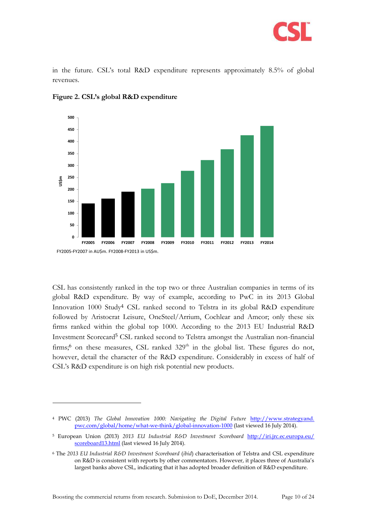

in the future. CSL's total R&D expenditure represents approximately 8.5% of global revenues.



<span id="page-9-0"></span>**Figure 2. CSL's global R&D expenditure**

CSL has consistently ranked in the top two or three Australian companies in terms of its global R&D expenditure. By way of example, according to PwC in its 2013 Global Innovation 1000 Study<sup>4</sup> CSL ranked second to Telstra in its global R&D expenditure followed by Aristocrat Leisure, OneSteel/Arrium, Cochlear and Amcor; only these six firms ranked within the global top 1000. According to the 2013 EU Industrial R&D Investment Scorecard<sup>5</sup> CSL ranked second to Telstra amongst the Australian non-financial firms;<sup>6</sup> on these measures, CSL ranked  $329<sup>th</sup>$  in the global list. These figures do not, however, detail the character of the R&D expenditure. Considerably in excess of half of CSL's R&D expenditure is on high risk potential new products.

Boosting the commercial returns from research. Submission to DoE, December 2014. Page 10 of 24

<sup>4</sup> PWC (2013) *The Global Innovation 1000: Navigating the Digital Future* http://www.strategyand. pwc.com/global/home/what-we-think/global-innovation-1000 (last viewed 16 July 2014).

<sup>5</sup> European Union (2013) *2013 EU Industrial R&D Investment Scoreboard* [http://iri.jrc.ec.europa.eu/](http://iri.jrc.ec.europa.eu/%20scoreboard13.html)  [scoreboard13.html](http://iri.jrc.ec.europa.eu/%20scoreboard13.html) (last viewed 16 July 2014).

<sup>6</sup> The *2013 EU Industrial R&D Investment Scoreboard* (*ibid*) characterisation of Telstra and CSL expenditure on R&D is consistent with reports by other commentators. However, it places three of Australia's largest banks above CSL, indicating that it has adopted broader definition of R&D expenditure.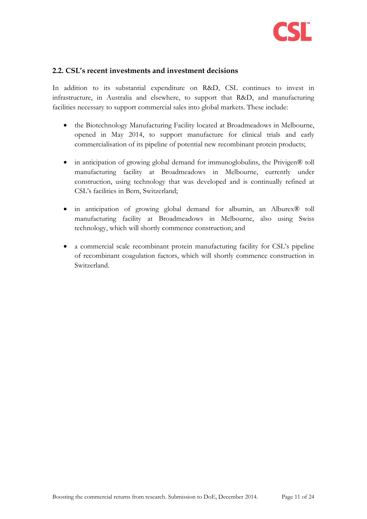

#### <span id="page-10-0"></span>**2.2. CSL's recent investments and investment decisions**

In addition to its substantial expenditure on R&D, CSL continues to invest in infrastructure, in Australia and elsewhere, to support that R&D, and manufacturing facilities necessary to support commercial sales into global markets. These include:

- the Biotechnology Manufacturing Facility located at Broadmeadows in Melbourne, opened in May 2014, to support manufacture for clinical trials and early commercialisation of its pipeline of potential new recombinant protein products;
- in anticipation of growing global demand for immunoglobulins, the Privigen® toll manufacturing facility at Broadmeadows in Melbourne, currently under construction, using technology that was developed and is continually refined at CSL's facilities in Bern, Switzerland;
- in anticipation of growing global demand for albumin, an Alburex® toll manufacturing facility at Broadmeadows in Melbourne, also using Swiss technology, which will shortly commence construction; and
- a commercial scale recombinant protein manufacturing facility for CSL's pipeline of recombinant coagulation factors, which will shortly commence construction in Switzerland.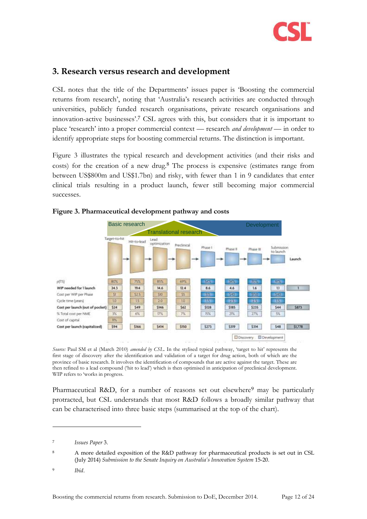

# <span id="page-11-0"></span>**3. Research versus research and development**

CSL notes that the title of the Departments' issues paper is 'Boosting the commercial returns from research', noting that 'Australia's research activities are conducted through universities, publicly funded research organisations, private research organisations and innovation-active businesses'.<sup>7</sup> CSL agrees with this, but considers that it is important to place 'research' into a proper commercial context — research *and development* — in order to identify appropriate steps for boosting commercial returns. The distinction is important.

[Figure 3](#page-11-1) illustrates the typical research and development activities (and their risks and costs) for the creation of a new drug.<sup>8</sup> The process is expensive (estimates range from between US\$800m and US\$1.7bn) and risky, with fewer than 1 in 9 candidates that enter clinical trials resulting in a product launch, fewer still becoming major commercial successes.



#### <span id="page-11-1"></span>**Figure 3. Pharmaceutical development pathway and costs**

*Source:* Paul SM et al (March 2010) *amended by CSL*. In the stylised typical pathway, 'target to hit' represents the first stage of discovery after the identification and validation of a target for drug action, both of which are the province of basic research. It involves the identification of compounds that are active against the target. These are then refined to a lead compound ('hit to lead') which is then optimised in anticipation of preclinical development. WIP refers to 'works in progress.

Pharmaceutical R&D, for a number of reasons set out elsewhere<sup>9</sup> may be particularly protracted, but CSL understands that most R&D follows a broadly similar pathway that can be characterised into three basic steps (summarised at the top of the chart).

<sup>9</sup> *Ibid*.

<sup>7</sup> *Issues Paper* 3.

<sup>8</sup> A more detailed exposition of the R&D pathway for pharmaceutical products is set out in CSL (July 2014) *Submission to the Senate Inquiry on Australia's Innovation System* 15-20.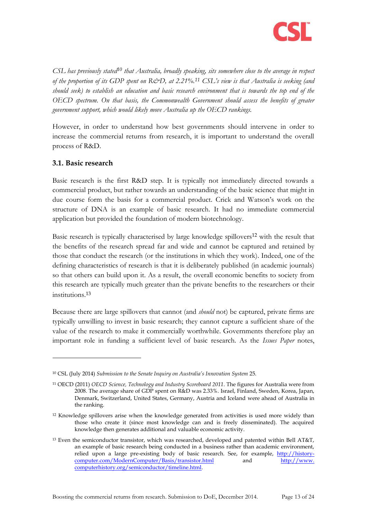

*CSL has previously stated<sup>10</sup> that Australia, broadly speaking, sits somewhere close to the average in respect of the proportion of its GDP spent on R&D, at 2.21%.<sup>11</sup> CSL's view is that Australia is seeking (and should seek) to establish an education and basic research environment that is towards the top end of the OECD spectrum. On that basis, the Commonwealth Government should assess the benefits of greater government support, which would likely move Australia up the OECD rankings.*

However, in order to understand how best governments should intervene in order to increase the commercial returns from research, it is important to understand the overall process of R&D.

#### <span id="page-12-0"></span>**3.1. Basic research**

-

Basic research is the first R&D step. It is typically not immediately directed towards a commercial product, but rather towards an understanding of the basic science that might in due course form the basis for a commercial product. Crick and Watson's work on the structure of DNA is an example of basic research. It had no immediate commercial application but provided the foundation of modern biotechnology.

Basic research is typically characterised by large knowledge spillovers<sup>12</sup> with the result that the benefits of the research spread far and wide and cannot be captured and retained by those that conduct the research (or the institutions in which they work). Indeed, one of the defining characteristics of research is that it is deliberately published (in academic journals) so that others can build upon it. As a result, the overall economic benefits to society from this research are typically much greater than the private benefits to the researchers or their institutions. 13

Because there are large spillovers that cannot (and *should* not) be captured, private firms are typically unwilling to invest in basic research; they cannot capture a sufficient share of the value of the research to make it commercially worthwhile. Governments therefore play an important role in funding a sufficient level of basic research. As the *Issues Paper* notes,

<sup>10</sup> CSL (July 2014) *Submission to the Senate Inquiry on Australia's Innovation System* 25.

<sup>11</sup> OECD (2011) *OECD Science, Technology and Industry Scoreboard 2011*. The figures for Australia were from 2008. The average share of GDP spent on R&D was 2.33%. Israel, Finland, Sweden, Korea, Japan, Denmark, Switzerland, United States, Germany, Austria and Iceland were ahead of Australia in the ranking.

<sup>12</sup> Knowledge spillovers arise when the knowledge generated from activities is used more widely than those who create it (since most knowledge can and is freely disseminated). The acquired knowledge then generates additional and valuable economic activity.

<sup>13</sup> Even the semiconductor transistor, which was researched, developed and patented within Bell AT&T, an example of basic research being conducted in a business rather than academic environment, relied upon a large pre-existing body of basic research. See, for example, [http://history](http://history-computer.com/ModernComputer/Basis/transistor.html)[computer.com/ModernComputer/Basis/transistor.html](http://history-computer.com/ModernComputer/Basis/transistor.html) and http://www. computerhistory.org/semiconductor/timeline.html.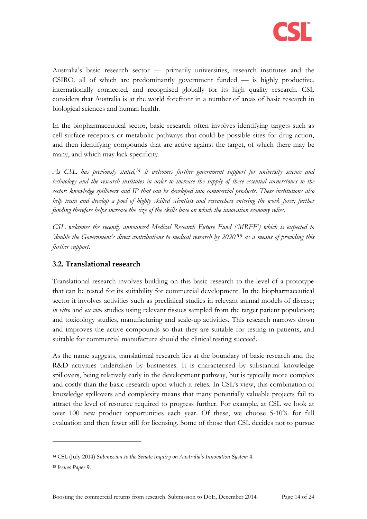

Australia's basic research sector — primarily universities, research institutes and the CSIRO, all of which are predominantly government funded — is highly productive, internationally connected, and recognised globally for its high quality research. CSL considers that Australia is at the world forefront in a number of areas of basic research in biological sciences and human health.

In the biopharmaceutical sector, basic research often involves identifying targets such as cell surface receptors or metabolic pathways that could be possible sites for drug action, and then identifying compounds that are active against the target, of which there may be many, and which may lack specificity.

*As CSL has previously stated,<sup>14</sup> it welcomes further government support for university science and technology and the research institutes in order to increase the supply of these essential cornerstones to the sector: knowledge spillovers and IP that can be developed into commercial products. These institutions also help train and develop a pool of highly skilled scientists and researchers entering the work force; further funding therefore helps increase the size of the skills base on which the innovation economy relies.*

*CSL welcomes the recently announced Medical Research Future Fund ('MRFF') which is expected to 'double the Government's direct contributions to medical research by 2020'<sup>15</sup> as a means of providing this further support.*

## <span id="page-13-0"></span>**3.2. Translational research**

Translational research involves building on this basic research to the level of a prototype that can be tested for its suitability for commercial development. In the biopharmaceutical sector it involves activities such as preclinical studies in relevant animal models of disease; *in vitro* and *ex vivo* studies using relevant tissues sampled from the target patient population; and toxicology studies, manufacturing and scale-up activities. This research narrows down and improves the active compounds so that they are suitable for testing in patients, and suitable for commercial manufacture should the clinical testing succeed.

As the name suggests, translational research lies at the boundary of basic research and the R&D activities undertaken by businesses. It is characterised by substantial knowledge spillovers, being relatively early in the development pathway, but is typically more complex and costly than the basic research upon which it relies. In CSL's view, this combination of knowledge spillovers and complexity means that many potentially valuable projects fail to attract the level of resource required to progress further. For example, at CSL we look at over 100 new product opportunities each year. Of these, we choose 5-10% for full evaluation and then fewer still for licensing. Some of those that CSL decides not to pursue

<sup>14</sup> CSL (July 2014) *Submission to the Senate Inquiry on Australia's Innovation System* 4.

<sup>15</sup> *Issues Paper* 9.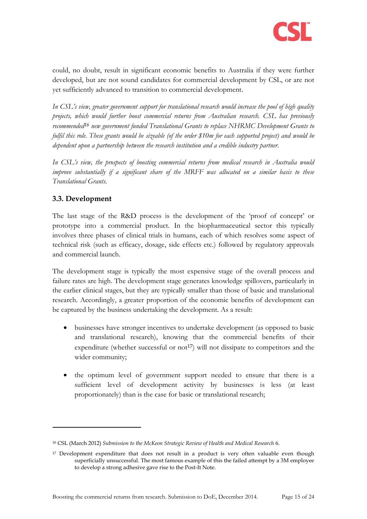

could, no doubt, result in significant economic benefits to Australia if they were further developed, but are not sound candidates for commercial development by CSL, or are not yet sufficiently advanced to transition to commercial development.

*In CSL's view, greater government support for translational research would increase the pool of high quality projects, which would further boost commercial returns from Australian research. CSL has previously recommended<sup>16</sup> new government funded Translational Grants to replace NHRMC Development Grants to fulfil this role. These grants would be sizeable (of the order \$10m for each supported project) and would be dependent upon a partnership between the research institution and a credible industry partner.*

*In CSL's view, the prospects of boosting commercial returns from medical research in Australia would improve substantially if a significant share of the MRFF was allocated on a similar basis to these Translational Grants.*

## <span id="page-14-0"></span>**3.3. Development**

-

The last stage of the R&D process is the development of the 'proof of concept' or prototype into a commercial product. In the biopharmaceutical sector this typically involves three phases of clinical trials in humans, each of which resolves some aspect of technical risk (such as efficacy, dosage, side effects etc.) followed by regulatory approvals and commercial launch.

The development stage is typically the most expensive stage of the overall process and failure rates are high. The development stage generates knowledge spillovers, particularly in the earlier clinical stages, but they are typically smaller than those of basic and translational research. Accordingly, a greater proportion of the economic benefits of development can be captured by the business undertaking the development. As a result:

- businesses have stronger incentives to undertake development (as opposed to basic and translational research), knowing that the commercial benefits of their expenditure (whether successful or not<sup>17</sup>) will not dissipate to competitors and the wider community;
- the optimum level of government support needed to ensure that there is a sufficient level of development activity by businesses is less (at least proportionately) than is the case for basic or translational research;

<sup>16</sup> CSL (March 2012) *Submission to the McKeon Strategic Review of Health and Medical Research* 6.

<sup>&</sup>lt;sup>17</sup> Development expenditure that does not result in a product is very often valuable even though superficially unsuccessful. The most famous example of this the failed attempt by a 3M employee to develop a strong adhesive gave rise to the Post-It Note.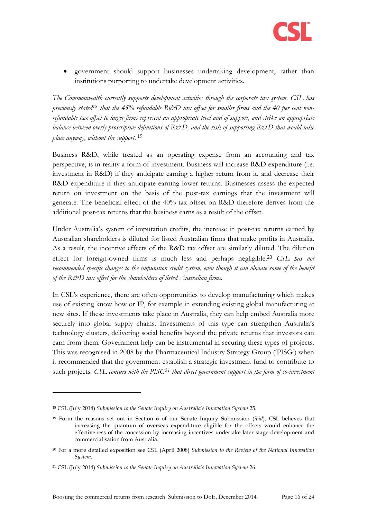

 government should support businesses undertaking development, rather than institutions purporting to undertake development activities.

*The Commonwealth currently supports development activities through the corporate tax system. CSL has*  previously stated<sup>18</sup> that the 45% refundable R&D tax offset for smaller firms and the 40 per cent non*refundable tax offset to larger firms represent an appropriate level and of support, and strike an appropriate balance between overly proscriptive definitions of R&D, and the risk of supporting R&D that would take place anyway, without the support.* <sup>19</sup>

Business R&D, while treated as an operating expense from an accounting and tax perspective, is in reality a form of investment. Business will increase R&D expenditure (i.e. investment in R&D) if they anticipate earning a higher return from it, and decrease their R&D expenditure if they anticipate earning lower returns. Businesses assess the expected return on investment on the basis of the post-tax earnings that the investment will generate. The beneficial effect of the 40% tax offset on R&D therefore derives from the additional post-tax returns that the business earns as a result of the offset.

Under Australia's system of imputation credits, the increase in post-tax returns earned by Australian shareholders is diluted for listed Australian firms that make profits in Australia. As a result, the incentive effects of the R&D tax offset are similarly diluted. The dilution effect for foreign-owned firms is much less and perhaps negligible. <sup>20</sup> *CSL has not recommended specific changes to the imputation credit system, even though it can obviate some of the benefit of the R&D tax offset for the shareholders of listed Australian firms.*

In CSL's experience, there are often opportunities to develop manufacturing which makes use of existing know how or IP, for example in extending existing global manufacturing at new sites. If these investments take place in Australia, they can help embed Australia more securely into global supply chains. Investments of this type can strengthen Australia's technology clusters, delivering social benefits beyond the private returns that investors can earn from them. Government help can be instrumental in securing these types of projects. This was recognised in 2008 by the Pharmaceutical Industry Strategy Group ('PISG') when it recommended that the government establish a strategic investment fund to contribute to such projects. *CSL concurs with the PISG<sup>21</sup> that direct government support in the form of co-investment* 

<sup>18</sup> CSL (July 2014) *Submission to the Senate Inquiry on Australia's Innovation System* 25.

<sup>19</sup> Form the reasons set out in Section 6 of our Senate Inquiry Submission (*ibid*), CSL believes that increasing the quantum of overseas expenditure eligible for the offsets would enhance the effectiveness of the concession by increasing incentives undertake later stage development and commercialisation from Australia.

<sup>20</sup> For a more detailed exposition see CSL (April 2008) *Submission to the Review of the National Innovation System*.

<sup>21</sup> CSL (July 2014) *Submission to the Senate Inquiry on Australia's Innovation System* 26.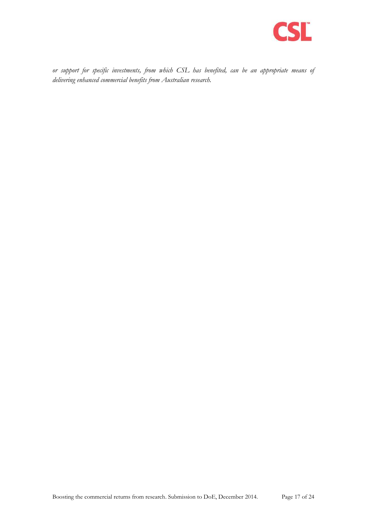

*or support for specific investments, from which CSL has benefited, can be an appropriate means of delivering enhanced commercial benefits from Australian research.*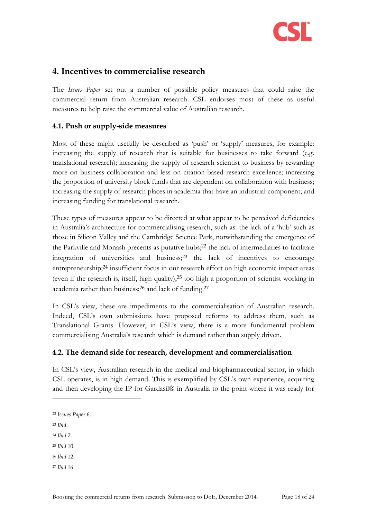

## <span id="page-17-0"></span>**4. Incentives to commercialise research**

The *Issues Paper* set out a number of possible policy measures that could raise the commercial return from Australian research. CSL endorses most of these as useful measures to help raise the commercial value of Australian research.

#### <span id="page-17-1"></span>**4.1. Push or supply-side measures**

Most of these might usefully be described as 'push' or 'supply' measures, for example: increasing the supply of research that is suitable for businesses to take forward (e.g. translational research); increasing the supply of research scientist to business by rewarding more on business collaboration and less on citation-based research excellence; increasing the proportion of university block funds that are dependent on collaboration with business; increasing the supply of research places in academia that have an industrial component; and increasing funding for translational research.

These types of measures appear to be directed at what appear to be perceived deficiencies in Australia's architecture for commercialising research, such as: the lack of a 'hub' such as those in Silicon Valley and the Cambridge Science Park, notwithstanding the emergence of the Parkville and Monash precents as putative hubs;<sup>22</sup> the lack of intermediaries to facilitate integration of universities and business;<sup>23</sup> the lack of incentives to encourage entrepreneurship;<sup>24</sup> insufficient focus in our research effort on high economic impact areas (even if the research is, itself, high quality);<sup>25</sup> too high a proportion of scientist working in academia rather than business;<sup>26</sup> and lack of funding.<sup>27</sup>

In CSL's view, these are impediments to the commercialisation of Australian research. Indeed, CSL's own submissions have proposed reforms to address them, such as Translational Grants. However, in CSL's view, there is a more fundamental problem commercialising Australia's research which is demand rather than supply driven.

#### <span id="page-17-2"></span>**4.2. The demand side for research, development and commercialisation**

In CSL's view, Australian research in the medical and biopharmaceutical sector, in which CSL operates, is in high demand. This is exemplified by CSL's own experience, acquiring and then developing the IP for Gardasil® in Australia to the point where it was ready for

<sup>22</sup> *Issues Paper* 6.

<sup>23</sup> *Ibid.*

-

<sup>24</sup> *Ibid* 7.

<sup>25</sup> *Ibid* 10.

<sup>26</sup> *Ibid* 12.

<sup>27</sup> *Ibid* 16.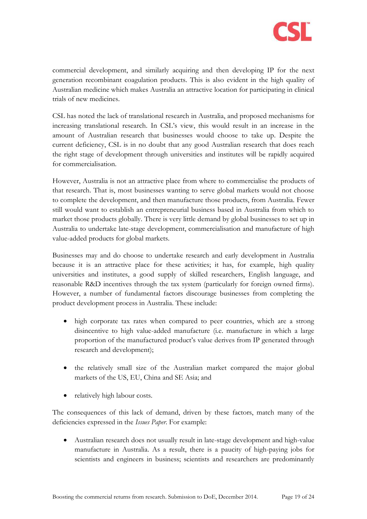

commercial development, and similarly acquiring and then developing IP for the next generation recombinant coagulation products. This is also evident in the high quality of Australian medicine which makes Australia an attractive location for participating in clinical trials of new medicines.

CSL has noted the lack of translational research in Australia, and proposed mechanisms for increasing translational research. In CSL's view, this would result in an increase in the amount of Australian research that businesses would choose to take up. Despite the current deficiency, CSL is in no doubt that any good Australian research that does reach the right stage of development through universities and institutes will be rapidly acquired for commercialisation.

However, Australia is not an attractive place from where to commercialise the products of that research. That is, most businesses wanting to serve global markets would not choose to complete the development, and then manufacture those products, from Australia. Fewer still would want to establish an entrepreneurial business based in Australia from which to market those products globally. There is very little demand by global businesses to set up in Australia to undertake late-stage development, commercialisation and manufacture of high value-added products for global markets.

Businesses may and do choose to undertake research and early development in Australia because it is an attractive place for these activities; it has, for example, high quality universities and institutes, a good supply of skilled researchers, English language, and reasonable R&D incentives through the tax system (particularly for foreign owned firms). However, a number of fundamental factors discourage businesses from completing the product development process in Australia. These include:

- high corporate tax rates when compared to peer countries, which are a strong disincentive to high value-added manufacture (i.e. manufacture in which a large proportion of the manufactured product's value derives from IP generated through research and development);
- the relatively small size of the Australian market compared the major global markets of the US, EU, China and SE Asia; and
- relatively high labour costs.

The consequences of this lack of demand, driven by these factors, match many of the deficiencies expressed in the *Issues Paper*. For example:

 Australian research does not usually result in late-stage development and high-value manufacture in Australia. As a result, there is a paucity of high-paying jobs for scientists and engineers in business; scientists and researchers are predominantly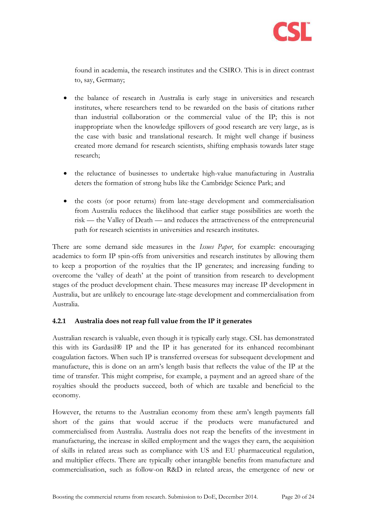

found in academia, the research institutes and the CSIRO. This is in direct contrast to, say, Germany;

- the balance of research in Australia is early stage in universities and research institutes, where researchers tend to be rewarded on the basis of citations rather than industrial collaboration or the commercial value of the IP; this is not inappropriate when the knowledge spillovers of good research are very large, as is the case with basic and translational research. It might well change if business created more demand for research scientists, shifting emphasis towards later stage research;
- the reluctance of businesses to undertake high-value manufacturing in Australia deters the formation of strong hubs like the Cambridge Science Park; and
- the costs (or poor returns) from late-stage development and commercialisation from Australia reduces the likelihood that earlier stage possibilities are worth the risk — the Valley of Death — and reduces the attractiveness of the entrepreneurial path for research scientists in universities and research institutes.

There are some demand side measures in the *Issues Paper*, for example: encouraging academics to form IP spin-offs from universities and research institutes by allowing them to keep a proportion of the royalties that the IP generates; and increasing funding to overcome the 'valley of death' at the point of transition from research to development stages of the product development chain. These measures may increase IP development in Australia, but are unlikely to encourage late-stage development and commercialisation from Australia.

#### **4.2.1 Australia does not reap full value from the IP it generates**

Australian research is valuable, even though it is typically early stage. CSL has demonstrated this with its Gardasil® IP and the IP it has generated for its enhanced recombinant coagulation factors. When such IP is transferred overseas for subsequent development and manufacture, this is done on an arm's length basis that reflects the value of the IP at the time of transfer. This might comprise, for example, a payment and an agreed share of the royalties should the products succeed, both of which are taxable and beneficial to the economy.

However, the returns to the Australian economy from these arm's length payments fall short of the gains that would accrue if the products were manufactured and commercialised from Australia. Australia does not reap the benefits of the investment in manufacturing, the increase in skilled employment and the wages they earn, the acquisition of skills in related areas such as compliance with US and EU pharmaceutical regulation, and multiplier effects. There are typically other intangible benefits from manufacture and commercialisation, such as follow-on R&D in related areas, the emergence of new or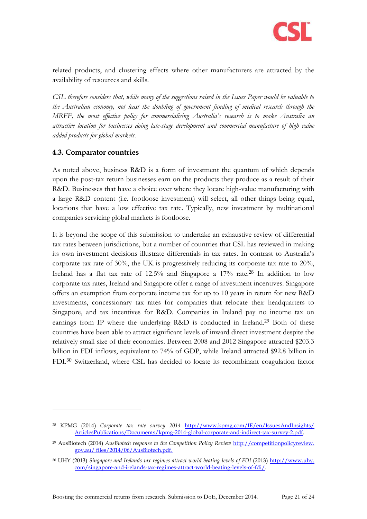

related products, and clustering effects where other manufacturers are attracted by the availability of resources and skills.

*CSL therefore considers that, while many of the suggestions raised in the Issues Paper would be valuable to the Australian economy, not least the doubling of government funding of medical research through the MRFF, the most effective policy for commercialising Australia's research is to make Australia an attractive location for businesses doing late-stage development and commercial manufacture of high value added products for global markets.*

#### <span id="page-20-0"></span>**4.3. Comparator countries**

-

As noted above, business R&D is a form of investment the quantum of which depends upon the post-tax return businesses earn on the products they produce as a result of their R&D. Businesses that have a choice over where they locate high-value manufacturing with a large R&D content (i.e. footloose investment) will select, all other things being equal, locations that have a low effective tax rate. Typically, new investment by multinational companies servicing global markets is footloose.

It is beyond the scope of this submission to undertake an exhaustive review of differential tax rates between jurisdictions, but a number of countries that CSL has reviewed in making its own investment decisions illustrate differentials in tax rates. In contrast to Australia's corporate tax rate of 30%, the UK is progressively reducing its corporate tax rate to 20%, Ireland has a flat tax rate of 12.5% and Singapore a 17% rate.<sup>28</sup> In addition to low corporate tax rates, Ireland and Singapore offer a range of investment incentives. Singapore offers an exemption from corporate income tax for up to 10 years in return for new R&D investments, concessionary tax rates for companies that relocate their headquarters to Singapore, and tax incentives for R&D. Companies in Ireland pay no income tax on earnings from IP where the underlying R&D is conducted in Ireland.<sup>29</sup> Both of these countries have been able to attract significant levels of inward direct investment despite the relatively small size of their economies. Between 2008 and 2012 Singapore attracted \$203.3 billion in FDI inflows, equivalent to 74% of GDP, while Ireland attracted \$92.8 billion in FDI.<sup>30</sup> Switzerland, where CSL has decided to locate its recombinant coagulation factor

<sup>28</sup> KPMG (2014) *Corporate tax rate survey 2014* [http://www.kpmg.com/IE/en/IssuesAndInsights/](http://www.kpmg.com/IE/en/IssuesAndInsights/%20ArticlesPublications/Documents/kpmg-2014-global-corporate-and-indirect-tax-survey-2.pdf)  [ArticlesPublications/Documents/kpmg-2014-global-corporate-and-indirect-tax-survey-2.pdf.](http://www.kpmg.com/IE/en/IssuesAndInsights/%20ArticlesPublications/Documents/kpmg-2014-global-corporate-and-indirect-tax-survey-2.pdf)

<sup>29</sup> AusBiotech (2014) *AusBiotech response to the Competition Policy Review* http://competitionpolicyreview. gov.au/ files/2014/06/AusBiotech.pdf.

<sup>30</sup> UHY (2013) *Singapore and Irelands tax regimes attract world beating levels of FDI* (2013) http://www.uhy. com/singapore-and-irelands-tax-regimes-attract-world-beating-levels-of-fdi/.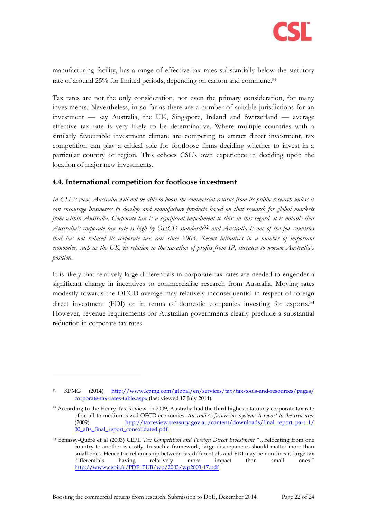

manufacturing facility, has a range of effective tax rates substantially below the statutory rate of around 25% for limited periods, depending on canton and commune.<sup>31</sup>

Tax rates are not the only consideration, nor even the primary consideration, for many investments. Nevertheless, in so far as there are a number of suitable jurisdictions for an investment — say Australia, the UK, Singapore, Ireland and Switzerland — average effective tax rate is very likely to be determinative. Where multiple countries with a similarly favourable investment climate are competing to attract direct investment, tax competition can play a critical role for footloose firms deciding whether to invest in a particular country or region. This echoes CSL's own experience in deciding upon the location of major new investments.

#### <span id="page-21-0"></span>**4.4. International competition for footloose investment**

*In CSL's view, Australia will not be able to boost the commercial returns from its public research unless it can encourage businesses to develop and manufacture products based on that research for global markets from within Australia. Corporate tax is a significant impediment to this; in this regard, it is notable that Australia's corporate tax rate is high by OECD standards<sup>32</sup> and Australia is one of the few countries that has not reduced its corporate tax rate since 2005. Recent initiatives in a number of important economies, such as the UK, in relation to the taxation of profits from IP, threaten to worsen Australia's position.*

It is likely that relatively large differentials in corporate tax rates are needed to engender a significant change in incentives to commercialise research from Australia. Moving rates modestly towards the OECD average may relatively inconsequential in respect of foreign direct investment (FDI) or in terms of domestic companies investing for exports.<sup>33</sup> However, revenue requirements for Australian governments clearly preclude a substantial reduction in corporate tax rates.

<sup>31</sup> KPMG (2014) [http://www.kpmg.com/global/en/services/tax/tax-tools-and-resources/pages/](http://www.kpmg.com/global/en/services/tax/tax-tools-and-resources/pages/%20corporate-tax-rates-table.aspx)  [corporate-tax-rates-table.aspx](http://www.kpmg.com/global/en/services/tax/tax-tools-and-resources/pages/%20corporate-tax-rates-table.aspx) (last viewed 17 July 2014).

<sup>&</sup>lt;sup>32</sup> According to the Henry Tax Review, in 2009, Australia had the third highest statutory corporate tax rate of small to medium-sized OECD economies. *Australia's future tax system: A report to the treasurer* (2009) [http://taxreview.treasury.gov.au/content/downloads/final\\_report\\_part\\_1/](http://taxreview.treasury.gov.au/content/downloads/final_report_part_1/%2000_afts_final_report_consolidated.pdf)  [00\\_afts\\_final\\_report\\_consolidated.pdf.](http://taxreview.treasury.gov.au/content/downloads/final_report_part_1/%2000_afts_final_report_consolidated.pdf)

<sup>33</sup> Bénassy-Quéré et al (2003) CEPII *Tax Competition and Foreign Direct Investment* "…relocating from one country to another is costly. In such a framework, large discrepancies should matter more than small ones. Hence the relationship between tax differentials and FDI may be non-linear, large tax differentials having relatively more impact than small ones." [http://www.cepii.fr/PDF\\_PUB/wp/2003/wp2003-17.pdf](http://www.cepii.fr/PDF_PUB/wp/2003/wp2003-17.pdf)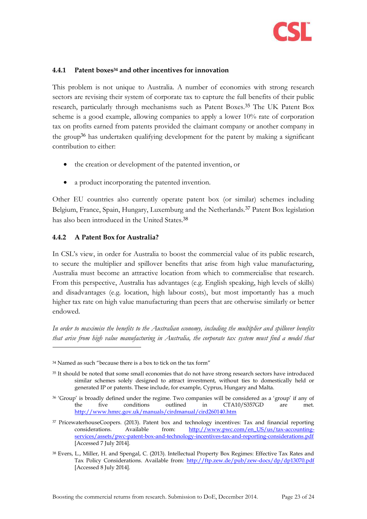

#### **4.4.1 Patent boxes<sup>34</sup> and other incentives for innovation**

This problem is not unique to Australia. A number of economies with strong research sectors are revising their system of corporate tax to capture the full benefits of their public research, particularly through mechanisms such as Patent Boxes.<sup>35</sup> The UK Patent Box scheme is a good example, allowing companies to apply a lower 10% rate of corporation tax on profits earned from patents provided the claimant company or another company in the group<sup>36</sup> has undertaken qualifying development for the patent by making a significant contribution to either:

- the creation or development of the patented invention, or
- a product incorporating the patented invention.

Other EU countries also currently operate patent box (or similar) schemes including Belgium, France, Spain, Hungary, Luxemburg and the Netherlands.<sup>37</sup> Patent Box legislation has also been introduced in the United States.<sup>38</sup>

#### **4.4.2 A Patent Box for Australia?**

-

In CSL's view, in order for Australia to boost the commercial value of its public research, to secure the multiplier and spillover benefits that arise from high value manufacturing, Australia must become an attractive location from which to commercialise that research. From this perspective, Australia has advantages (e.g. English speaking, high levels of skills) and disadvantages (e.g. location, high labour costs), but most importantly has a much higher tax rate on high value manufacturing than peers that are otherwise similarly or better endowed.

*In order to maximise the benefits to the Australian economy, including the multiplier and spillover benefits that arise from high value manufacturing in Australia, the corporate tax system must find a model that* 

<sup>34</sup> Named as such "because there is a box to tick on the tax form"

<sup>&</sup>lt;sup>35</sup> It should be noted that some small economies that do not have strong research sectors have introduced similar schemes solely designed to attract investment, without ties to domestically held or generated IP or patents. These include, for example, Cyprus, Hungary and Malta.

<sup>36</sup> 'Group' is broadly defined under the regime. Two companies will be considered as a 'group' if any of the five conditions outlined in CTA10/S357GD are met. <http://www.hmrc.gov.uk/manuals/cirdmanual/cird260140.htm>

<sup>&</sup>lt;sup>37</sup> PricewaterhouseCoopers. (2013). Patent box and technology incentives: Tax and financial reporting considerations. Available from: [http://www.pwc.com/en\\_US/us/tax-accounting](http://www.pwc.com/en_US/us/tax-accounting-services/assets/pwc-patent-box-and-technology-incentives-tax-and-reporting-considerations.pdf)[services/assets/pwc-patent-box-and-technology-incentives-tax-and-reporting-considerations.pdf](http://www.pwc.com/en_US/us/tax-accounting-services/assets/pwc-patent-box-and-technology-incentives-tax-and-reporting-considerations.pdf) [Accessed 7 July 2014].

<sup>38</sup> Evers, L., Miller, H. and Spengal, C. (2013). Intellectual Property Box Regimes: Effective Tax Rates and Tax Policy Considerations. Available from:<http://ftp.zew.de/pub/zew-docs/dp/dp13070.pdf> [Accessed 8 July 2014].